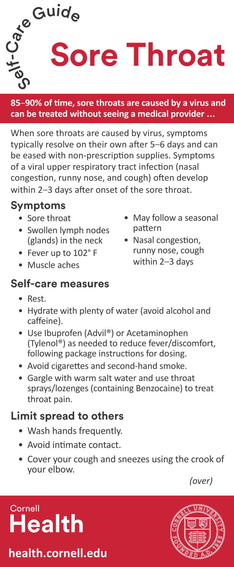

**85**–**90% of time, sore throats are caused by a virus and can be treated without seeing a medical provider ...**

When sore throats are caused by virus, symptoms typically resolve on their own after 5–6 days and can be eased with non-prescription supplies. Symptoms of a viral upper respiratory tract infection (nasal congestion, runny nose, and cough) often develop within 2–3 days after onset of the sore throat.

### **Symptoms**

- Sore throat
- Swollen lymph nodes (glands) in the neck
- Fever up to 102° F
- Muscle aches

### **Self-care measures**

- May follow a seasonal pattern
- Nasal congestion, runny nose, cough within 2–3 days

- Rest.
- Hydrate with plenty of water (avoid alcohol and caffeine).
- Use Ibuprofen (Advil®) or Acetaminophen (Tylenol®) as needed to reduce fever/discomfort, following package instructions for dosing.
- Avoid cigarettes and second-hand smoke.
- Gargle with warm salt water and use throat sprays/lozenges (containing Benzocaine) to treat throat pain.

## **Limit spread to others**

- Wash hands frequently.
- Avoid intimate contact.
- Cover your cough and sneezes using the crook of your elbow.

*(over)*

# **Cornell Health**

**health.cornell.edu**